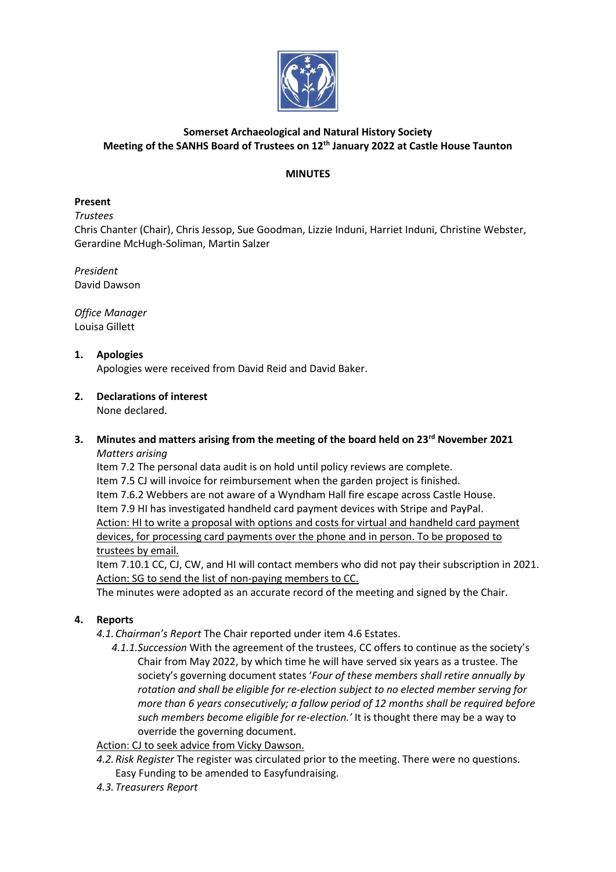

# **Somerset Archaeological and Natural History Society Meeting of the SANHS Board of Trustees on 12th January 2022 at Castle House Taunton**

### **MINUTES**

## **Present**

*Trustees*

Chris Chanter (Chair), Chris Jessop, Sue Goodman, Lizzie Induni, Harriet Induni, Christine Webster, Gerardine McHugh-Soliman, Martin Salzer

*President* David Dawson

*Office Manager* Louisa Gillett

## **1. Apologies**

Apologies were received from David Reid and David Baker.

# **2. Declarations of interest**

None declared.

#### **3. Minutes and matters arising from the meeting of the board held on 23rd November 2021** *Matters arising*

Item 7.2 The personal data audit is on hold until policy reviews are complete. Item 7.5 CJ will invoice for reimbursement when the garden project is finished. Item 7.6.2 Webbers are not aware of a Wyndham Hall fire escape across Castle House. Item 7.9 HI has investigated handheld card payment devices with Stripe and PayPal. Action: HI to write a proposal with options and costs for virtual and handheld card payment devices, for processing card payments over the phone and in person. To be proposed to trustees by email.

Item 7.10.1 CC, CJ, CW, and HI will contact members who did not pay their subscription in 2021. Action: SG to send the list of non-paying members to CC.

The minutes were adopted as an accurate record of the meeting and signed by the Chair.

## **4. Reports**

- *4.1. Chairman's Report* The Chair reported under item 4.6 Estates.
	- *4.1.1.Succession* With the agreement of the trustees, CC offers to continue as the society's Chair from May 2022, by which time he will have served six years as a trustee. The society's governing document states '*Four of these members shall retire annually by rotation and shall be eligible for re-election subject to no elected member serving for more than 6 years consecutively; a fallow period of 12 months shall be required before such members become eligible for re-election.'* It is thought there may be a way to override the governing document.

Action: CJ to seek advice from Vicky Dawson.

- *4.2.Risk Register* The register was circulated prior to the meeting. There were no questions. Easy Funding to be amended to Easyfundraising.
- *4.3. Treasurers Report*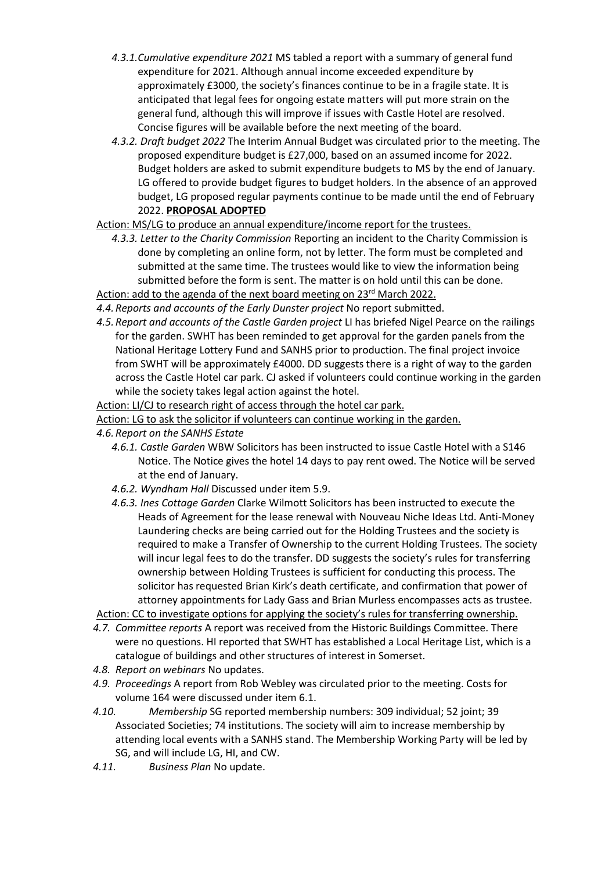- *4.3.1.Cumulative expenditure 2021* MS tabled a report with a summary of general fund expenditure for 2021. Although annual income exceeded expenditure by approximately £3000, the society's finances continue to be in a fragile state. It is anticipated that legal fees for ongoing estate matters will put more strain on the general fund, although this will improve if issues with Castle Hotel are resolved. Concise figures will be available before the next meeting of the board.
- *4.3.2. Draft budget 2022* The Interim Annual Budget was circulated prior to the meeting. The proposed expenditure budget is £27,000, based on an assumed income for 2022. Budget holders are asked to submit expenditure budgets to MS by the end of January. LG offered to provide budget figures to budget holders. In the absence of an approved budget, LG proposed regular payments continue to be made until the end of February 2022. **PROPOSAL ADOPTED**

Action: MS/LG to produce an annual expenditure/income report for the trustees.

*4.3.3. Letter to the Charity Commission* Reporting an incident to the Charity Commission is done by completing an online form, not by letter. The form must be completed and submitted at the same time. The trustees would like to view the information being submitted before the form is sent. The matter is on hold until this can be done. Action: add to the agenda of the next board meeting on 23<sup>rd</sup> March 2022.

*4.4.Reports and accounts of the Early Dunster project* No report submitted.

*4.5.Report and accounts of the Castle Garden project* LI has briefed Nigel Pearce on the railings for the garden. SWHT has been reminded to get approval for the garden panels from the National Heritage Lottery Fund and SANHS prior to production. The final project invoice from SWHT will be approximately £4000. DD suggests there is a right of way to the garden across the Castle Hotel car park. CJ asked if volunteers could continue working in the garden while the society takes legal action against the hotel.

Action: LI/CJ to research right of access through the hotel car park.

Action: LG to ask the solicitor if volunteers can continue working in the garden.

- *4.6.Report on the SANHS Estate*
	- *4.6.1. Castle Garden* WBW Solicitors has been instructed to issue Castle Hotel with a S146 Notice. The Notice gives the hotel 14 days to pay rent owed. The Notice will be served at the end of January.
	- *4.6.2. Wyndham Hall* Discussed under item 5.9.
	- *4.6.3. Ines Cottage Garden* Clarke Wilmott Solicitors has been instructed to execute the Heads of Agreement for the lease renewal with Nouveau Niche Ideas Ltd. Anti-Money Laundering checks are being carried out for the Holding Trustees and the society is required to make a Transfer of Ownership to the current Holding Trustees. The society will incur legal fees to do the transfer. DD suggests the society's rules for transferring ownership between Holding Trustees is sufficient for conducting this process. The solicitor has requested Brian Kirk's death certificate, and confirmation that power of attorney appointments for Lady Gass and Brian Murless encompasses acts as trustee.

Action: CC to investigate options for applying the society's rules for transferring ownership.

- *4.7. Committee reports* A report was received from the Historic Buildings Committee. There were no questions. HI reported that SWHT has established a Local Heritage List, which is a catalogue of buildings and other structures of interest in Somerset.
- *4.8. Report on webinars* No updates.
- *4.9. Proceedings* A report from Rob Webley was circulated prior to the meeting. Costs for volume 164 were discussed under item 6.1.
- *4.10. Membership* SG reported membership numbers: 309 individual; 52 joint; 39 Associated Societies; 74 institutions. The society will aim to increase membership by attending local events with a SANHS stand. The Membership Working Party will be led by SG, and will include LG, HI, and CW.
- *4.11. Business Plan* No update.